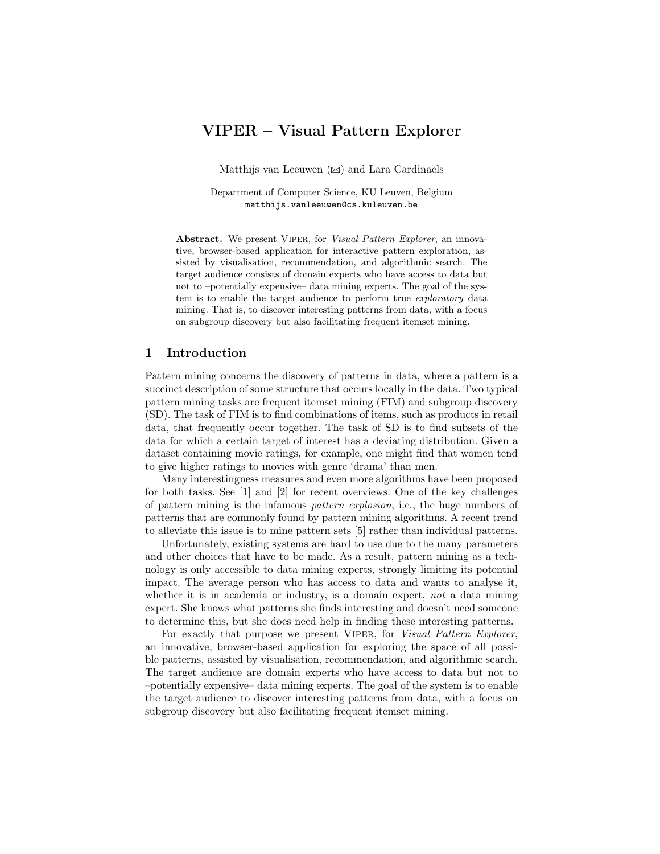# VIPER – Visual Pattern Explorer

Matthijs van Leeuwen  $(\boxtimes)$  and Lara Cardinaels

Department of Computer Science, KU Leuven, Belgium matthijs.vanleeuwen@cs.kuleuven.be

Abstract. We present VIPER, for *Visual Pattern Explorer*, an innovative, browser-based application for interactive pattern exploration, assisted by visualisation, recommendation, and algorithmic search. The target audience consists of domain experts who have access to data but not to –potentially expensive– data mining experts. The goal of the system is to enable the target audience to perform true *exploratory* data mining. That is, to discover interesting patterns from data, with a focus on subgroup discovery but also facilitating frequent itemset mining.

### 1 Introduction

Pattern mining concerns the discovery of patterns in data, where a pattern is a succinct description of some structure that occurs locally in the data. Two typical pattern mining tasks are frequent itemset mining (FIM) and subgroup discovery (SD). The task of FIM is to find combinations of items, such as products in retail data, that frequently occur together. The task of SD is to find subsets of the data for which a certain target of interest has a deviating distribution. Given a dataset containing movie ratings, for example, one might find that women tend to give higher ratings to movies with genre 'drama' than men.

Many interestingness measures and even more algorithms have been proposed for both tasks. See [1] and [2] for recent overviews. One of the key challenges of pattern mining is the infamous pattern explosion, i.e., the huge numbers of patterns that are commonly found by pattern mining algorithms. A recent trend to alleviate this issue is to mine pattern sets [5] rather than individual patterns.

Unfortunately, existing systems are hard to use due to the many parameters and other choices that have to be made. As a result, pattern mining as a technology is only accessible to data mining experts, strongly limiting its potential impact. The average person who has access to data and wants to analyse it, whether it is in academia or industry, is a domain expert, not a data mining expert. She knows what patterns she finds interesting and doesn't need someone to determine this, but she does need help in finding these interesting patterns.

For exactly that purpose we present Viper, for Visual Pattern Explorer, an innovative, browser-based application for exploring the space of all possible patterns, assisted by visualisation, recommendation, and algorithmic search. The target audience are domain experts who have access to data but not to –potentially expensive– data mining experts. The goal of the system is to enable the target audience to discover interesting patterns from data, with a focus on subgroup discovery but also facilitating frequent itemset mining.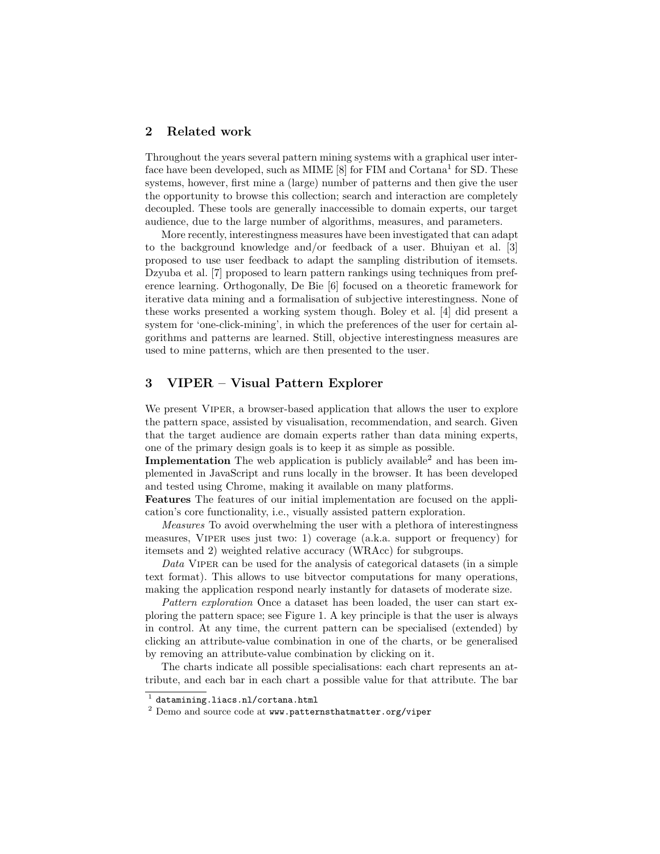## 2 Related work

Throughout the years several pattern mining systems with a graphical user interface have been developed, such as MIME [8] for FIM and Cortana<sup>1</sup> for SD. These systems, however, first mine a (large) number of patterns and then give the user the opportunity to browse this collection; search and interaction are completely decoupled. These tools are generally inaccessible to domain experts, our target audience, due to the large number of algorithms, measures, and parameters.

More recently, interestingness measures have been investigated that can adapt to the background knowledge and/or feedback of a user. Bhuiyan et al. [3] proposed to use user feedback to adapt the sampling distribution of itemsets. Dzyuba et al. [7] proposed to learn pattern rankings using techniques from preference learning. Orthogonally, De Bie [6] focused on a theoretic framework for iterative data mining and a formalisation of subjective interestingness. None of these works presented a working system though. Boley et al. [4] did present a system for 'one-click-mining', in which the preferences of the user for certain algorithms and patterns are learned. Still, objective interestingness measures are used to mine patterns, which are then presented to the user.

### 3 VIPER – Visual Pattern Explorer

We present VIPER, a browser-based application that allows the user to explore the pattern space, assisted by visualisation, recommendation, and search. Given that the target audience are domain experts rather than data mining experts, one of the primary design goals is to keep it as simple as possible.

**Implementation** The web application is publicly available<sup>2</sup> and has been implemented in JavaScript and runs locally in the browser. It has been developed and tested using Chrome, making it available on many platforms.

Features The features of our initial implementation are focused on the application's core functionality, i.e., visually assisted pattern exploration.

Measures To avoid overwhelming the user with a plethora of interestingness measures, VIPER uses just two: 1) coverage (a.k.a. support or frequency) for itemsets and 2) weighted relative accuracy (WRAcc) for subgroups.

Data VIPER can be used for the analysis of categorical datasets (in a simple text format). This allows to use bitvector computations for many operations, making the application respond nearly instantly for datasets of moderate size.

Pattern exploration Once a dataset has been loaded, the user can start exploring the pattern space; see Figure 1. A key principle is that the user is always in control. At any time, the current pattern can be specialised (extended) by clicking an attribute-value combination in one of the charts, or be generalised by removing an attribute-value combination by clicking on it.

The charts indicate all possible specialisations: each chart represents an attribute, and each bar in each chart a possible value for that attribute. The bar

 $^1$  datamining.liacs.nl/cortana.html

<sup>&</sup>lt;sup>2</sup> Demo and source code at www.patternsthatmatter.org/viper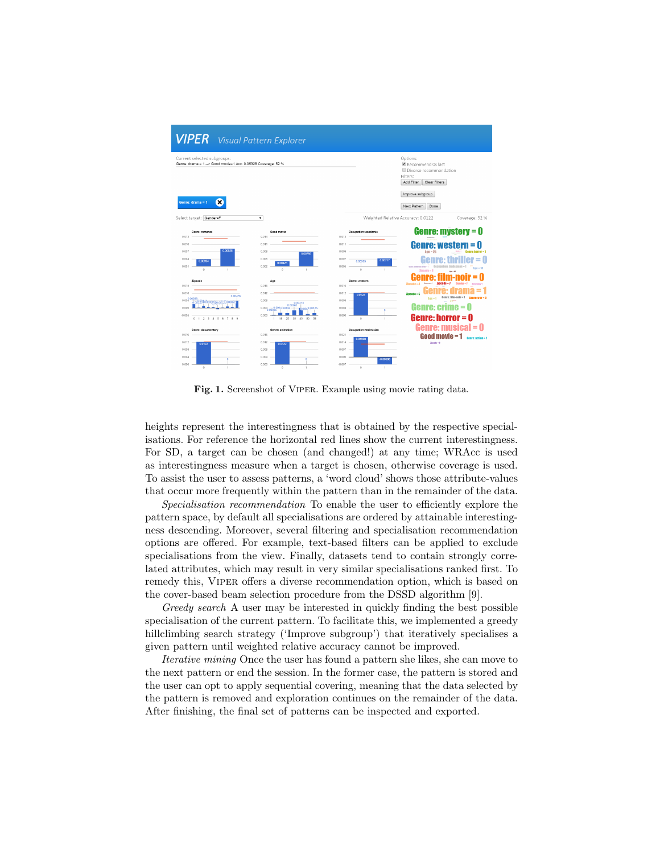

Fig. 1. Screenshot of Viper. Example using movie rating data.

heights represent the interestingness that is obtained by the respective specialisations. For reference the horizontal red lines show the current interestingness. For SD, a target can be chosen (and changed!) at any time; WRAcc is used as interestingness measure when a target is chosen, otherwise coverage is used. To assist the user to assess patterns, a 'word cloud' shows those attribute-values that occur more frequently within the pattern than in the remainder of the data.

Specialisation recommendation To enable the user to efficiently explore the pattern space, by default all specialisations are ordered by attainable interestingness descending. Moreover, several filtering and specialisation recommendation options are offered. For example, text-based filters can be applied to exclude specialisations from the view. Finally, datasets tend to contain strongly correlated attributes, which may result in very similar specialisations ranked first. To remedy this, VIPER offers a diverse recommendation option, which is based on the cover-based beam selection procedure from the DSSD algorithm [9].

Greedy search A user may be interested in quickly finding the best possible specialisation of the current pattern. To facilitate this, we implemented a greedy hillclimbing search strategy ('Improve subgroup') that iteratively specialises a given pattern until weighted relative accuracy cannot be improved.

Iterative mining Once the user has found a pattern she likes, she can move to the next pattern or end the session. In the former case, the pattern is stored and the user can opt to apply sequential covering, meaning that the data selected by the pattern is removed and exploration continues on the remainder of the data. After finishing, the final set of patterns can be inspected and exported.